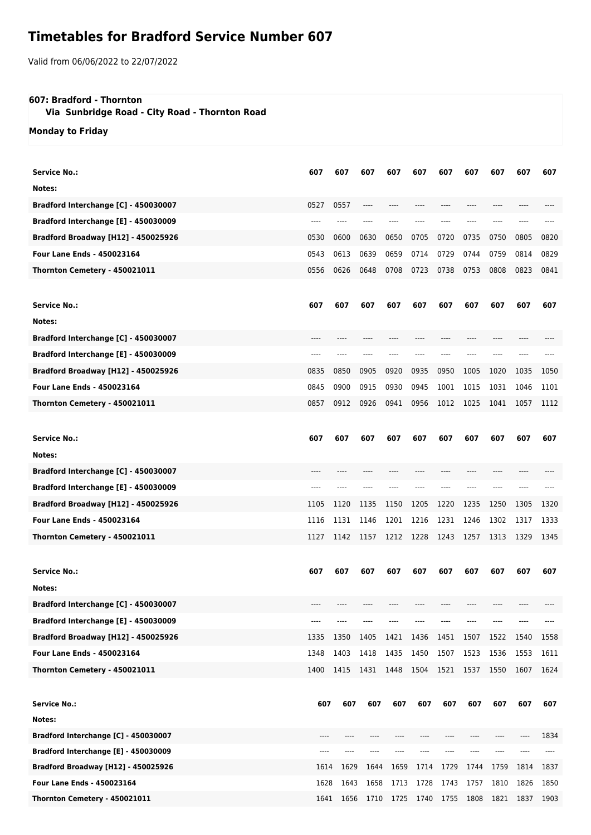## **Timetables for Bradford Service Number 607**

Valid from 06/06/2022 to 22/07/2022

## **607: Bradford - Thornton**

 **Via Sunbridge Road - City Road - Thornton Road**

**Monday to Friday**

| Service No.:                               | 607  | 607  | 607       | 607  | 607                      | 607  | 607  | 607  | 607  | 607  |
|--------------------------------------------|------|------|-----------|------|--------------------------|------|------|------|------|------|
| Notes:                                     |      |      |           |      |                          |      |      |      |      |      |
| Bradford Interchange [C] - 450030007       | 0527 | 0557 |           |      |                          |      |      |      |      |      |
| Bradford Interchange [E] - 450030009       |      |      |           |      |                          |      |      |      |      |      |
| <b>Bradford Broadway [H12] - 450025926</b> | 0530 | 0600 | 0630      | 0650 | 0705                     | 0720 | 0735 | 0750 | 0805 | 0820 |
| <b>Four Lane Ends - 450023164</b>          | 0543 | 0613 | 0639      | 0659 | 0714                     | 0729 | 0744 | 0759 | 0814 | 0829 |
| Thornton Cemetery - 450021011              | 0556 | 0626 | 0648      | 0708 | 0723                     | 0738 | 0753 | 0808 | 0823 | 0841 |
| <b>Service No.:</b>                        | 607  | 607  | 607       | 607  | 607                      | 607  | 607  | 607  | 607  | 607  |
| Notes:                                     |      |      |           |      |                          |      |      |      |      |      |
| Bradford Interchange [C] - 450030007       | ---- |      |           |      |                          |      | ---- |      |      |      |
| Bradford Interchange [E] - 450030009       | ---- | ---- |           |      |                          |      |      |      |      |      |
| <b>Bradford Broadway [H12] - 450025926</b> | 0835 | 0850 | 0905      | 0920 | 0935                     | 0950 | 1005 | 1020 | 1035 | 1050 |
| <b>Four Lane Ends - 450023164</b>          | 0845 | 0900 | 0915      | 0930 | 0945                     | 1001 | 1015 | 1031 | 1046 | 1101 |
| Thornton Cemetery - 450021011              | 0857 | 0912 | 0926      | 0941 | 0956                     | 1012 | 1025 | 1041 | 1057 | 1112 |
|                                            |      |      |           |      |                          |      |      |      |      |      |
| <b>Service No.:</b>                        | 607  | 607  | 607       | 607  | 607                      | 607  | 607  | 607  | 607  | 607  |
| Notes:                                     |      |      |           |      |                          |      |      |      |      |      |
| Bradford Interchange [C] - 450030007       |      |      |           |      |                          |      |      |      |      |      |
| Bradford Interchange [E] - 450030009       |      |      |           |      |                          |      |      |      |      |      |
| Bradford Broadway [H12] - 450025926        | 1105 | 1120 | 1135      | 1150 | 1205                     | 1220 | 1235 | 1250 | 1305 | 1320 |
| Four Lane Ends - 450023164                 | 1116 | 1131 | 1146      | 1201 | 1216                     | 1231 | 1246 | 1302 | 1317 | 1333 |
| Thornton Cemetery - 450021011              | 1127 | 1142 | 1157      | 1212 | 1228                     | 1243 | 1257 | 1313 | 1329 | 1345 |
|                                            |      |      |           |      |                          |      |      |      |      |      |
| <b>Service No.:</b>                        | 607  | 607  | 607       | 607  | 607                      | 607  | 607  | 607  | 607  | 607  |
| Notes:                                     |      |      |           |      |                          |      |      |      |      |      |
| Bradford Interchange [C] - 450030007       |      |      |           |      |                          |      |      |      |      |      |
| Bradford Interchange [E] - 450030009       | ---- |      |           |      |                          |      |      |      |      |      |
| <b>Bradford Broadway [H12] - 450025926</b> | 1335 | 1350 | 1405      | 1421 | 1436                     | 1451 | 1507 | 1522 | 1540 | 1558 |
| Four Lane Ends - 450023164                 | 1348 | 1403 | 1418      | 1435 | 1450                     | 1507 | 1523 | 1536 | 1553 | 1611 |
| Thornton Cemetery - 450021011              | 1400 | 1415 | 1431      | 1448 | 1504                     | 1521 | 1537 | 1550 | 1607 | 1624 |
|                                            |      |      |           |      |                          |      |      |      |      |      |
| <b>Service No.:</b>                        | 607  | 607  | 607       | 607  | 607                      | 607  | 607  | 607  | 607  | 607  |
| Notes:                                     |      |      |           |      |                          |      |      |      |      |      |
| Bradford Interchange [C] - 450030007       |      |      |           |      |                          |      |      |      |      | 1834 |
| Bradford Interchange [E] - 450030009       | ---- |      | ---       |      |                          |      |      |      |      |      |
| <b>Bradford Broadway [H12] - 450025926</b> | 1614 | 1629 | 1644      | 1659 | 1714                     | 1729 | 1744 | 1759 | 1814 | 1837 |
| Four Lane Ends - 450023164                 | 1628 | 1643 | 1658      | 1713 | 1728                     | 1743 | 1757 | 1810 | 1826 | 1850 |
| Thornton Cemetery - 450021011              | 1641 |      | 1656 1710 |      | 1725 1740 1755 1808 1821 |      |      |      | 1837 | 1903 |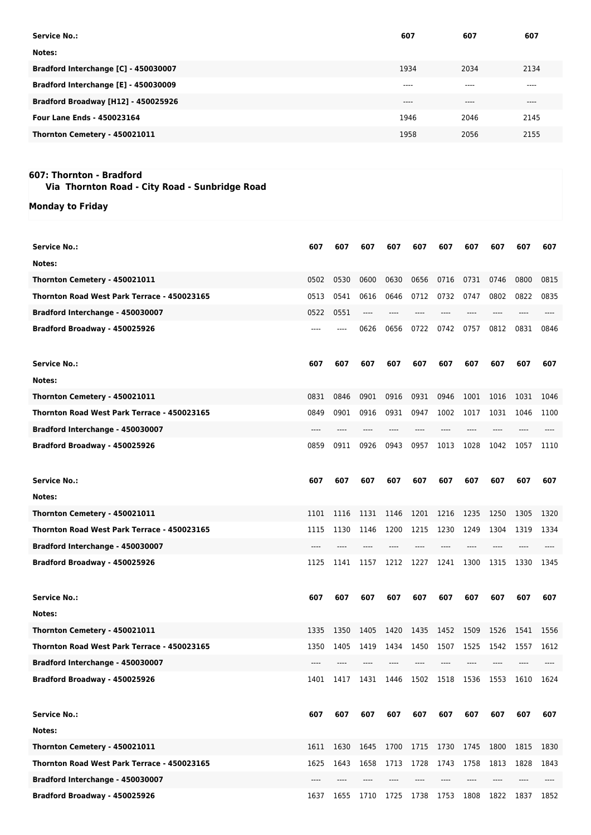| Service No.:                               | 607     | 607     | 607   |
|--------------------------------------------|---------|---------|-------|
| Notes:                                     |         |         |       |
| Bradford Interchange [C] - 450030007       | 1934    | 2034    | 2134  |
| Bradford Interchange [E] - 450030009       | $--- -$ | $--- -$ | $---$ |
| <b>Bradford Broadway [H12] - 450025926</b> | $---$   | $---$   | ----  |
| <b>Four Lane Ends - 450023164</b>          | 1946    | 2046    | 2145  |
| Thornton Cemetery - 450021011              | 1958    | 2056    | 2155  |

## **607: Thornton - Bradford**

 **Via Thornton Road - City Road - Sunbridge Road**

**Monday to Friday**

| Service No.:                                | 607  | 607  | 607   | 607            | 607  | 607  | 607  | 607  | 607  | 607  |
|---------------------------------------------|------|------|-------|----------------|------|------|------|------|------|------|
| Notes:                                      |      |      |       |                |      |      |      |      |      |      |
| Thornton Cemetery - 450021011               | 0502 | 0530 | 0600  | 0630           | 0656 | 0716 | 0731 | 0746 | 0800 | 0815 |
| Thornton Road West Park Terrace - 450023165 | 0513 | 0541 | 0616  | 0646           | 0712 | 0732 | 0747 | 0802 | 0822 | 0835 |
| Bradford Interchange - 450030007            | 0522 | 0551 | $---$ |                |      |      |      |      |      |      |
| Bradford Broadway - 450025926               | ---- | ---- | 0626  | 0656           | 0722 | 0742 | 0757 | 0812 | 0831 | 0846 |
| <b>Service No.:</b>                         | 607  | 607  | 607   | 607            | 607  | 607  | 607  | 607  | 607  | 607  |
| Notes:                                      |      |      |       |                |      |      |      |      |      |      |
| Thornton Cemetery - 450021011               | 0831 | 0846 | 0901  | 0916           | 0931 | 0946 | 1001 | 1016 | 1031 | 1046 |
| Thornton Road West Park Terrace - 450023165 | 0849 | 0901 | 0916  | 0931           | 0947 | 1002 | 1017 | 1031 | 1046 | 1100 |
| Bradford Interchange - 450030007            | ---- |      |       |                |      |      |      |      |      |      |
| Bradford Broadway - 450025926               | 0859 | 0911 | 0926  | 0943           | 0957 | 1013 | 1028 | 1042 | 1057 | 1110 |
| <b>Service No.:</b>                         | 607  | 607  | 607   | 607            | 607  | 607  | 607  | 607  | 607  | 607  |
| Notes:                                      |      |      |       |                |      |      |      |      |      |      |
| Thornton Cemetery - 450021011               | 1101 | 1116 | 1131  | 1146           | 1201 | 1216 | 1235 | 1250 | 1305 | 1320 |
| Thornton Road West Park Terrace - 450023165 | 1115 | 1130 | 1146  | 1200           | 1215 | 1230 | 1249 | 1304 | 1319 | 1334 |
| Bradford Interchange - 450030007            |      |      |       |                |      |      |      |      |      |      |
| Bradford Broadway - 450025926               | 1125 | 1141 | 1157  | 1212           | 1227 | 1241 | 1300 | 1315 | 1330 | 1345 |
| <b>Service No.:</b>                         | 607  | 607  | 607   | 607            | 607  | 607  | 607  | 607  | 607  | 607  |
| Notes:                                      |      |      |       |                |      |      |      |      |      |      |
| Thornton Cemetery - 450021011               | 1335 | 1350 | 1405  | 1420           | 1435 | 1452 | 1509 | 1526 | 1541 | 1556 |
| Thornton Road West Park Terrace - 450023165 | 1350 | 1405 | 1419  | 1434           | 1450 | 1507 | 1525 | 1542 | 1557 | 1612 |
| Bradford Interchange - 450030007            |      |      |       |                |      |      |      |      |      |      |
| Bradford Broadway - 450025926               | 1401 | 1417 | 1431  | 1446           | 1502 | 1518 | 1536 | 1553 | 1610 | 1624 |
| <b>Service No.:</b>                         | 607  | 607  | 607   | 607            | 607  | 607  | 607  | 607  | 607  | 607  |
| Notes:                                      |      |      |       |                |      |      |      |      |      |      |
| Thornton Cemetery - 450021011               | 1611 | 1630 | 1645  | 1700           | 1715 | 1730 | 1745 | 1800 | 1815 | 1830 |
| Thornton Road West Park Terrace - 450023165 | 1625 | 1643 | 1658  | 1713           | 1728 | 1743 | 1758 | 1813 | 1828 | 1843 |
| Bradford Interchange - 450030007            | ---- |      |       |                |      |      |      |      |      |      |
| Bradford Broadway - 450025926               | 1637 | 1655 | 1710  | 1725 1738 1753 |      |      | 1808 | 1822 | 1837 | 1852 |